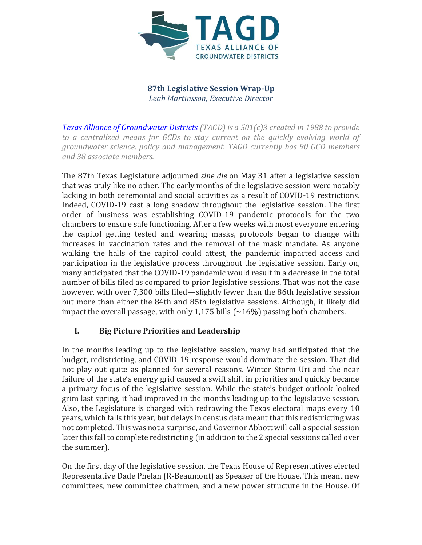

**87th Legislative Session Wrap-Up** *Leah Martinsson, Executive Director*

*[Texas Alliance of Groundwater Districts](https://texasgroundwater.org/) (TAGD) is a 501(c)3 created in 1988 to provide to a centralized means for GCDs to stay current on the quickly evolving world of groundwater science, policy and management. TAGD currently has 90 GCD members and 38 associate members.* 

The 87th Texas Legislature adjourned *sine die* on May 31 after a legislative session that was truly like no other. The early months of the legislative session were notably lacking in both ceremonial and social activities as a result of COVID-19 restrictions. Indeed, COVID-19 cast a long shadow throughout the legislative session. The first order of business was establishing COVID-19 pandemic protocols for the two chambers to ensure safe functioning. After a few weeks with most everyone entering the capitol getting tested and wearing masks, protocols began to change with increases in vaccination rates and the removal of the mask mandate. As anyone walking the halls of the capitol could attest, the pandemic impacted access and participation in the legislative process throughout the legislative session. Early on, many anticipated that the COVID-19 pandemic would result in a decrease in the total number of bills filed as compared to prior legislative sessions. That was not the case however, with over 7,300 bills filed—slightly fewer than the 86th legislative session but more than either the 84th and 85th legislative sessions. Although, it likely did impact the overall passage, with only 1,175 bills  $\left(\sim\right.16\%)$  passing both chambers.

# **I. Big Picture Priorities and Leadership**

In the months leading up to the legislative session, many had anticipated that the budget, redistricting, and COVID-19 response would dominate the session. That did not play out quite as planned for several reasons. Winter Storm Uri and the near failure of the state's energy grid caused a swift shift in priorities and quickly became a primary focus of the legislative session. While the state's budget outlook looked grim last spring, it had improved in the months leading up to the legislative session. Also, the Legislature is charged with redrawing the Texas electoral maps every 10 years, which falls this year, but delays in census data meant that this redistricting was not completed. This was not a surprise, and Governor Abbott will call a special session later this fall to complete redistricting (in addition to the 2 special sessions called over the summer).

On the first day of the legislative session, the Texas House of Representatives elected Representative Dade Phelan (R-Beaumont) as Speaker of the House. This meant new committees, new committee chairmen, and a new power structure in the House. Of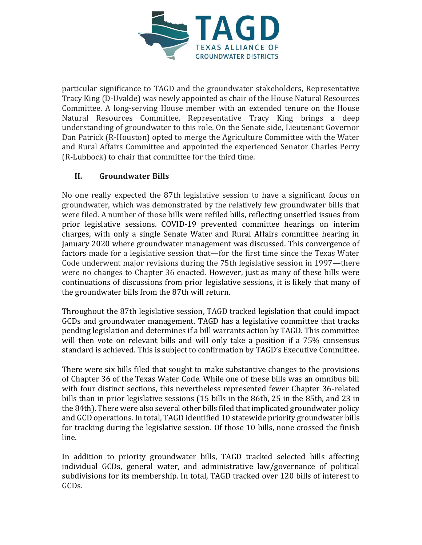

particular significance to TAGD and the groundwater stakeholders, Representative Tracy King (D-Uvalde) was newly appointed as chair of the House Natural Resources Committee. A long-serving House member with an extended tenure on the House Natural Resources Committee, Representative Tracy King brings a deep understanding of groundwater to this role. On the Senate side, Lieutenant Governor Dan Patrick (R-Houston) opted to merge the Agriculture Committee with the Water and Rural Affairs Committee and appointed the experienced Senator Charles Perry (R-Lubbock) to chair that committee for the third time.

# **II. Groundwater Bills**

No one really expected the 87th legislative session to have a significant focus on groundwater, which was demonstrated by the relatively few groundwater bills that were filed. A number of those bills were refiled bills, reflecting unsettled issues from prior legislative sessions. COVID-19 prevented committee hearings on interim charges, with only a single Senate Water and Rural Affairs committee hearing in January 2020 where groundwater management was discussed. This convergence of factors made for a legislative session that—for the first time since the Texas Water Code underwent major revisions during the 75th legislative session in 1997—there were no changes to Chapter 36 enacted. However, just as many of these bills were continuations of discussions from prior legislative sessions, it is likely that many of the groundwater bills from the 87th will return.

Throughout the 87th legislative session, TAGD tracked legislation that could impact GCDs and groundwater management. TAGD has a legislative committee that tracks pending legislation and determines if a bill warrants action by TAGD. This committee will then vote on relevant bills and will only take a position if a 75% consensus standard is achieved. This is subject to confirmation by TAGD's Executive Committee.

There were six bills filed that sought to make substantive changes to the provisions of Chapter 36 of the Texas Water Code. While one of these bills was an omnibus bill with four distinct sections, this nevertheless represented fewer Chapter 36-related bills than in prior legislative sessions (15 bills in the 86th, 25 in the 85th, and 23 in the 84th). There were also several other bills filed that implicated groundwater policy and GCD operations. In total, TAGD identified 10 statewide priority groundwater bills for tracking during the legislative session. Of those 10 bills, none crossed the finish line.

In addition to priority groundwater bills, TAGD tracked selected bills affecting individual GCDs, general water, and administrative law/governance of political subdivisions for its membership. In total, TAGD tracked over 120 bills of interest to GCDs.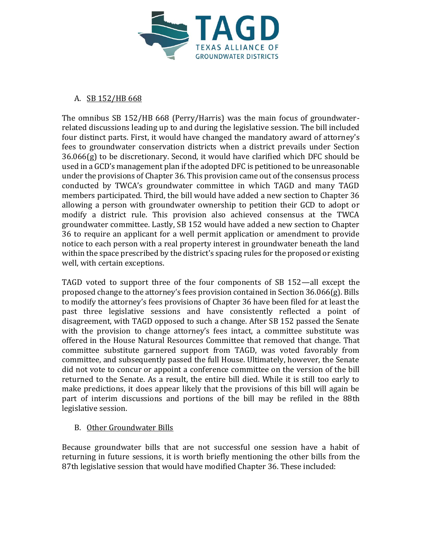

### A. SB 152/HB 668

The omnibus SB 152/HB 668 (Perry/Harris) was the main focus of groundwaterrelated discussions leading up to and during the legislative session. The bill included four distinct parts. First, it would have changed the mandatory award of attorney's fees to groundwater conservation districts when a district prevails under Section 36.066(g) to be discretionary. Second, it would have clarified which DFC should be used in a GCD's management plan if the adopted DFC is petitioned to be unreasonable under the provisions of Chapter 36. This provision came out of the consensus process conducted by TWCA's groundwater committee in which TAGD and many TAGD members participated. Third, the bill would have added a new section to Chapter 36 allowing a person with groundwater ownership to petition their GCD to adopt or modify a district rule. This provision also achieved consensus at the TWCA groundwater committee. Lastly, SB 152 would have added a new section to Chapter 36 to require an applicant for a well permit application or amendment to provide notice to each person with a real property interest in groundwater beneath the land within the space prescribed by the district's spacing rules for the proposed or existing well, with certain exceptions.

TAGD voted to support three of the four components of SB 152—all except the proposed change to the attorney's fees provision contained in Section 36.066(g). Bills to modify the attorney's fees provisions of Chapter 36 have been filed for at least the past three legislative sessions and have consistently reflected a point of disagreement, with TAGD opposed to such a change. After SB 152 passed the Senate with the provision to change attorney's fees intact, a committee substitute was offered in the House Natural Resources Committee that removed that change. That committee substitute garnered support from TAGD, was voted favorably from committee, and subsequently passed the full House. Ultimately, however, the Senate did not vote to concur or appoint a conference committee on the version of the bill returned to the Senate. As a result, the entire bill died. While it is still too early to make predictions, it does appear likely that the provisions of this bill will again be part of interim discussions and portions of the bill may be refiled in the 88th legislative session.

# B. Other Groundwater Bills

Because groundwater bills that are not successful one session have a habit of returning in future sessions, it is worth briefly mentioning the other bills from the 87th legislative session that would have modified Chapter 36. These included: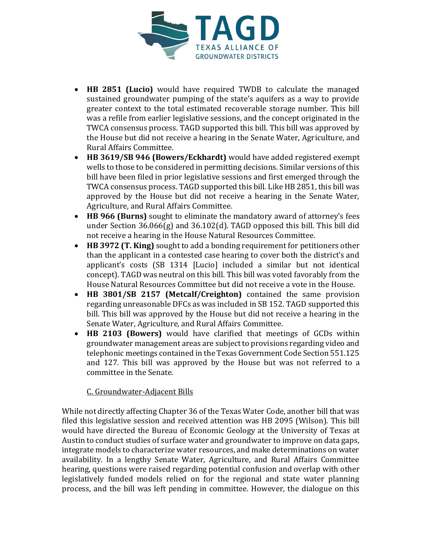

- **HB 2851 (Lucio)** would have required TWDB to calculate the managed sustained groundwater pumping of the state's aquifers as a way to provide greater context to the total estimated recoverable storage number. This bill was a refile from earlier legislative sessions, and the concept originated in the TWCA consensus process. TAGD supported this bill. This bill was approved by the House but did not receive a hearing in the Senate Water, Agriculture, and Rural Affairs Committee.
- **HB 3619/SB 946 (Bowers/Eckhardt)** would have added registered exempt wells to those to be considered in permitting decisions. Similar versions of this bill have been filed in prior legislative sessions and first emerged through the TWCA consensus process. TAGD supported this bill. Like HB 2851, this bill was approved by the House but did not receive a hearing in the Senate Water, Agriculture, and Rural Affairs Committee.
- **HB 966 (Burns)** sought to eliminate the mandatory award of attorney's fees under Section 36.066(g) and 36.102(d). TAGD opposed this bill. This bill did not receive a hearing in the House Natural Resources Committee.
- **HB 3972 (T. King)** sought to add a bonding requirement for petitioners other than the applicant in a contested case hearing to cover both the district's and applicant's costs (SB 1314 [Lucio] included a similar but not identical concept). TAGD was neutral on this bill. This bill was voted favorably from the House Natural Resources Committee but did not receive a vote in the House.
- **HB 3801/SB 2157 (Metcalf/Creighton)** contained the same provision regarding unreasonable DFCs as was included in SB 152. TAGD supported this bill. This bill was approved by the House but did not receive a hearing in the Senate Water, Agriculture, and Rural Affairs Committee.
- **HB 2103 (Bowers)** would have clarified that meetings of GCDs within groundwater management areas are subject to provisions regarding video and telephonic meetings contained in the Texas Government Code Section 551.125 and 127. This bill was approved by the House but was not referred to a committee in the Senate.

# C. Groundwater-Adjacent Bills

While not directly affecting Chapter 36 of the Texas Water Code, another bill that was filed this legislative session and received attention was HB 2095 (Wilson). This bill would have directed the Bureau of Economic Geology at the University of Texas at Austin to conduct studies of surface water and groundwater to improve on data gaps, integrate models to characterize water resources, and make determinations on water availability. In a lengthy Senate Water, Agriculture, and Rural Affairs Committee hearing, questions were raised regarding potential confusion and overlap with other legislatively funded models relied on for the regional and state water planning process, and the bill was left pending in committee. However, the dialogue on this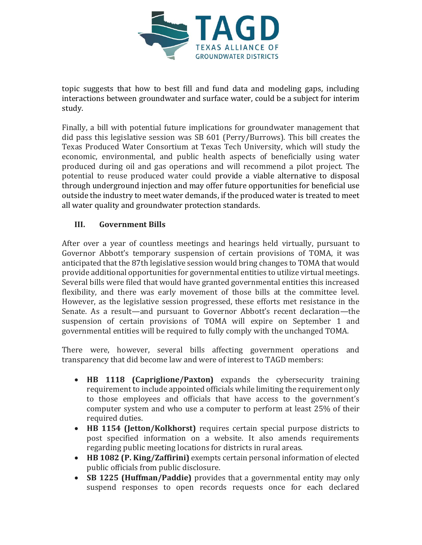

topic suggests that how to best fill and fund data and modeling gaps, including interactions between groundwater and surface water, could be a subject for interim study.

Finally, a bill with potential future implications for groundwater management that did pass this legislative session was SB 601 (Perry/Burrows). This bill creates the Texas Produced Water Consortium at Texas Tech University, which will study the economic, environmental, and public health aspects of beneficially using water produced during oil and gas operations and will recommend a pilot project. The potential to reuse produced water could provide a viable alternative to disposal through underground injection and may offer future opportunities for beneficial use outside the industry to meet water demands, if the produced water is treated to meet all water quality and groundwater protection standards.

# **III. Government Bills**

After over a year of countless meetings and hearings held virtually, pursuant to Governor Abbott's temporary suspension of certain provisions of TOMA, it was anticipated that the 87th legislative session would bring changes to TOMA that would provide additional opportunities for governmental entities to utilize virtual meetings. Several bills were filed that would have granted governmental entities this increased flexibility, and there was early movement of those bills at the committee level. However, as the legislative session progressed, these efforts met resistance in the Senate. As a result—and pursuant to Governor Abbott's recent declaration—the suspension of certain provisions of TOMA will expire on September 1 and governmental entities will be required to fully comply with the unchanged TOMA.

There were, however, several bills affecting government operations and transparency that did become law and were of interest to TAGD members:

- **HB 1118 (Capriglione/Paxton)** expands the cybersecurity training requirement to include appointed officials while limiting the requirement only to those employees and officials that have access to the government's computer system and who use a computer to perform at least 25% of their required duties.
- **HB 1154 (Jetton/Kolkhorst)** requires certain special purpose districts to post specified information on a website. It also amends requirements regarding public meeting locations for districts in rural areas.
- **HB 1082 (P. King/Zaffirini)** exempts certain personal information of elected public officials from public disclosure.
- **SB 1225 (Huffman/Paddie)** provides that a governmental entity may only suspend responses to open records requests once for each declared